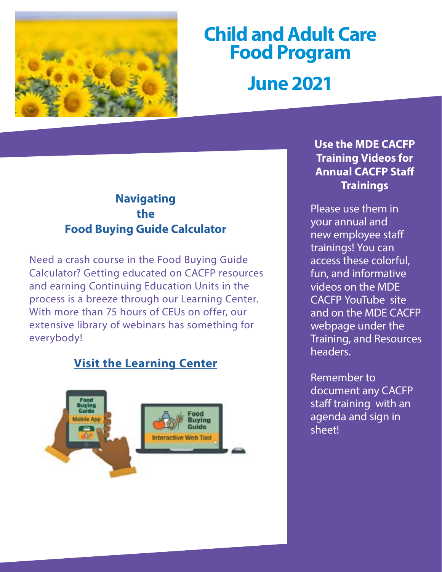

# **Child and Adult Care Food Program June 2021**

## **Navigating the Food Buying Guide Calculator**

Need a crash course in the Food Buying Guide Calculator? Getting educated on CACFP resources and earning Continuing Education Units in the process is a breeze through our Learning Center. With more than 75 hours of CEUs on offer, our extensive library of webinars has something for everybody!

## **[Visit the Learning Center](https://www.cacfp.org/learning-center/)**



## **Use the MDE CACFP Training Videos for Annual CACFP Staff Trainings**

Please use them in your annual and new employee staff trainings! You can access these colorful, fun, and informative videos on the MDE CACFP YouTube site and on the MDE CACFP webpage under the Training, and Resources headers.

Remember to document any CACFP staff training with an agenda and sign in sheet!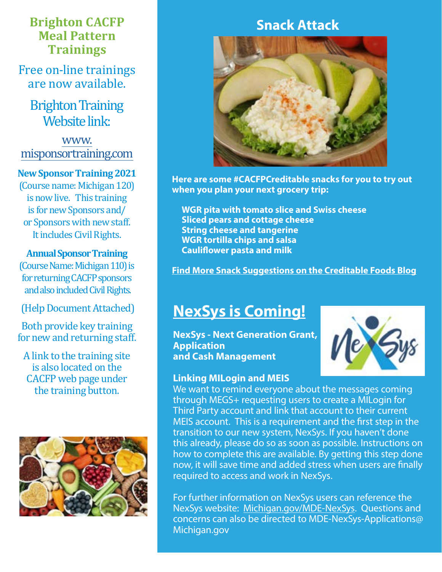## **Brighton CACFP Meal Pattern Trainings**

Free on-line trainings are now available.

**Brighton Training** Website link:

[www.](http://www.misponsortraining.com) [misponsortraining.com](http://www.misponsortraining.com)

#### **New Sponsor Training 2021**

(Course name: Michigan 120) is now live. This training is for new Sponsors and/ or Sponsors with new staff. It includes Civil Rights.

#### **Annual Sponsor Training**

(Course Name: Michigan 110) is for returning CACFP sponsors and also included Civil Rights.

[\(Help Document Attached\)](https://www.michigan.gov/documents/mde/CACFP_Quick_Start_Guide_misponsortraining_692773_7.pdf)

Both provide key training for new and returning staff.

A link to the training site is also located on the CACFP web page under the training button.



## **Snack Attack**



**Here are some #CACFPCreditable snacks for you to try out when you plan your next grocery trip:**

**WGR pita with tomato slice and Swiss cheese Sliced pears and cottage cheese String cheese and tangerine WGR tortilla chips and salsa Cauliflower pasta and milk**

**[Find More Snack Suggestions on the Creditable Foods Blog](https://www.cacfp.org/recipes-menus/creditable-foods-blog/)**

## **NexSys is Coming!**

**NexSys - Next Generation Grant, Application and Cash Management**



#### **Linking MILogin and MEIS**

We want to remind everyone about the messages coming through MEGS+ requesting users to create a MILogin for Third Party account and link that account to their current MEIS account. This is a requirement and the first step in the transition to our new system, NexSys. If you haven't done this already, please do so as soon as possible. Instructions on how to complete this are available. By getting this step done now, it will save time and added stress when users are finally required to access and work in NexSys.

For further information on NexSys users can reference the NexSys website: [Michigan.gov/MDE-NexSys.](https://www.michigan.gov/mde/0,4615,7-140-5236_103242---,00.html) Questions and concerns can also be directed to MDE-NexSys-Applications@ Michigan.gov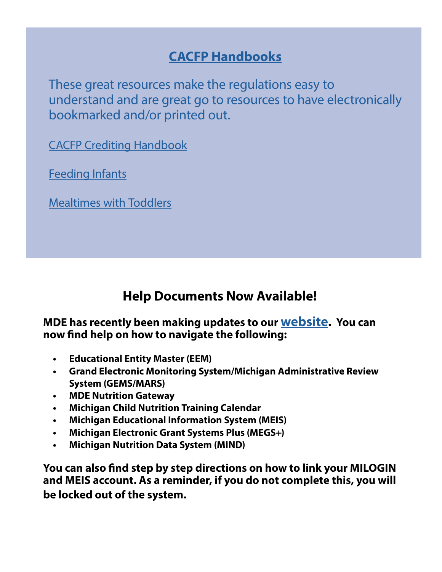## **[CACFP Handbooks](https://www.fns.usda.gov/cacfp/cacfp-handbooks)**

These great resources make the regulations easy to [understand and are great go to resources to have electronically](https://fns-prod.azureedge.net/sites/default/files/resource-files/FiestaMexicanLasagnaCACFPCenterRecipe.pdf)  bookmarked and/or printed out.

[CACFP Crediting Handbook](https://www.fns.usda.gov/tn/crediting-handbook-child-and-adult-care-food-program)

[Feeding Infants](https://www.fns.usda.gov/tn/feeding-infants-child-and-adult-care-food-program)

[Mealtimes with Toddlers](http://www.fns.usda.gov/tn/mealtimes-toddlers-cacfp)

## **Help Documents Now Available!**

### **MDE has recently been making updates to our [website.](https://gcc02.safelinks.protection.outlook.com/?url=https%3A%2F%2Fwww.michigan.gov%2Fmde%2F0%2C4615%2C7-140-66254_50144-550987--%2C00.html&data=04%7C01%7CGalbaviT%40michigan.gov%7C8664cd74ade446971ff708d91158f550%7Cd5fb7087377742ad966a892ef47225d1%7C0%7C1%7C637559896058896509%7CUnknown%7CTWFpbGZsb3d8eyJWIjoiMC4wLjAwMDAiLCJQIjoiV2luMzIiLCJBTiI6Ik1haWwiLCJXVCI6Mn0%3D%7C1000&sdata=l0Zd1lcCBXdQFzh7oQq8%2BR%2FpiwbdFvtHPROf3IA1kXI%3D&reserved=0) You can now find help on how to navigate the following:**

- **• Educational Entity Master (EEM)**
- **• Grand Electronic Monitoring System/Michigan Administrative Review System (GEMS/MARS)**
- **• MDE Nutrition Gateway**
- **• Michigan Child Nutrition Training Calendar**
- **• Michigan Educational Information System (MEIS)**
- **• Michigan Electronic Grant Systems Plus (MEGS+)**
- **• Michigan Nutrition Data System (MIND)**

**You can also find step by step directions on how to link your MILOGIN and MEIS account. As a reminder, if you do not complete this, you will be locked out of the system.**